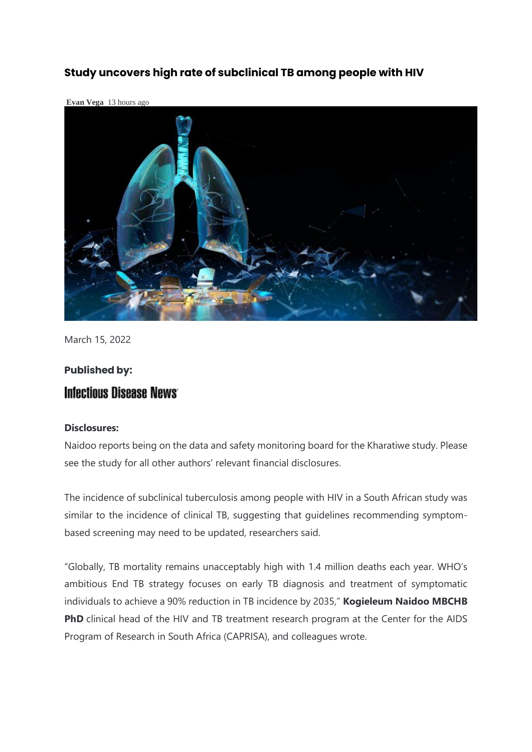## **Study uncovers high rate of subclinical TB among people with HIV**

**[Evan](https://dailyzhealthpress.com/author/evan-vega/) Vega** 13 hours ago



March 15, 2022

## **Published by: Infectious Disease News**

## **Disclosures:**

Naidoo reports being on the data and safety monitoring board for the Kharatiwe study. Please see the study for all other authors' relevant financial disclosures.

The incidence of subclinical tuberculosis among people with HIV in a South African study was similar to the incidence of clinical TB, suggesting that guidelines recommending symptombased screening may need to be updated, researchers said.

"Globally, TB mortality remains unacceptably high with 1.4 million deaths each year. WHO's ambitious End TB strategy focuses on early TB diagnosis and treatment of symptomatic individuals to achieve a 90% reduction in TB incidence by 2035," **Kogieleum Naidoo MBCHB PhD** clinical head of the HIV and TB treatment research program at the Center for the AIDS Program of Research in South Africa (CAPRISA), and colleagues wrote.